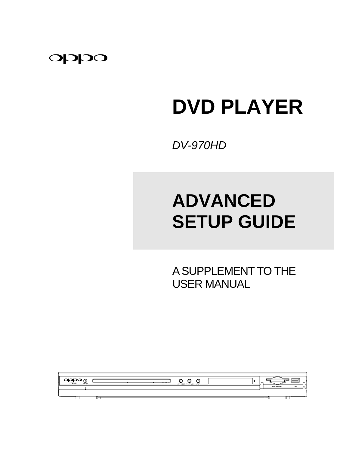

# **DVD PLAYER**

*DV-970HD* 

# **ADVANCED SETUP GUIDE**

 A SUPPLEMENT TO THE USER MANUAL

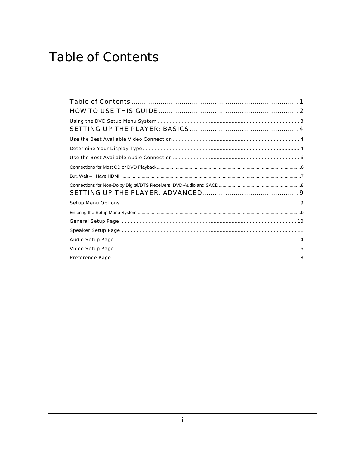# <span id="page-2-0"></span>**Table of Contents**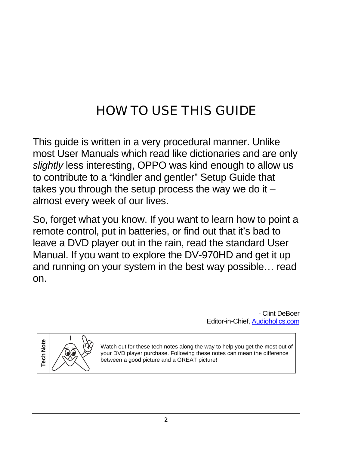# <span id="page-3-0"></span>HOW TO USE THIS GUIDE

This guide is written in a very procedural manner. Unlike most User Manuals which read like dictionaries and are only *slightly* less interesting, OPPO was kind enough to allow us to contribute to a "kindler and gentler" Setup Guide that takes you through the setup process the way we do it  $$ almost every week of our lives.

So, forget what you know. If you want to learn how to point a remote control, put in batteries, or find out that it's bad to leave a DVD player out in the rain, read the standard User Manual. If you want to explore the DV-970HD and get it up and running on your system in the best way possible… read on.

> - Clint DeBoer Editor-in-Chief, [Audioholics.com](http://www.audioholics.com/)



Watch out for these tech notes along the way to help you get the most out of your DVD player purchase. Following these notes can mean the difference between a good picture and a GREAT picture!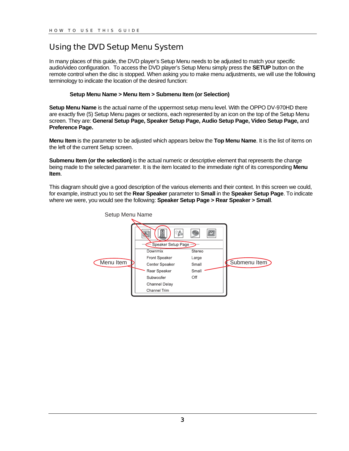# <span id="page-4-0"></span>Using the DVD Setup Menu System

In many places of this guide, the DVD player's Setup Menu needs to be adjusted to match your specific audio/video configuration. To access the DVD player's Setup Menu simply press the **SETUP** button on the remote control when the disc is stopped. When asking you to make menu adjustments, we will use the following terminology to indicate the location of the desired function:

#### **Setup Menu Name > Menu Item > Submenu Item (or Selection)**

**Setup Menu Name** is the actual name of the uppermost setup menu level. With the OPPO DV-970HD there are exactly five (5) Setup Menu pages or sections, each represented by an icon on the top of the Setup Menu screen. They are: **General Setup Page, Speaker Setup Page, Audio Setup Page, Video Setup Page,** and **Preference Page.** 

**Menu Item** is the parameter to be adjusted which appears below the **Top Menu Name**. It is the list of items on the left of the current Setup screen.

**Submenu Item (or the selection)** is the actual numeric or descriptive element that represents the change being made to the selected parameter. It is the item located to the immediate right of its corresponding **Menu Item**.

This diagram should give a good description of the various elements and their context. In this screen we could, for example, instruct you to set the **Rear Speaker** parameter to **Small** in the **Speaker Setup Page**. To indicate where we were, you would see the following: **Speaker Setup Page > Rear Speaker > Small**.

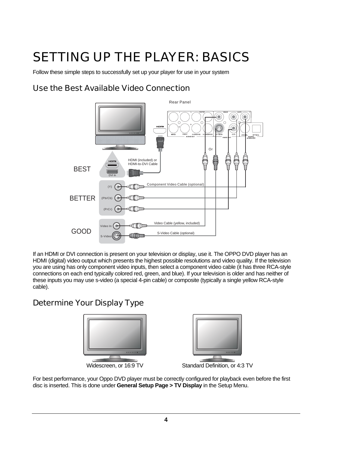# <span id="page-5-0"></span>SETTING UP THE PLAYER: BASICS

Follow these simple steps to successfully set up your player for use in your system

# Use the Best Available Video Connection



If an HDMI or DVI connection is present on your television or display, use it. The OPPO DVD player has an HDMI (digital) video output which presents the highest possible resolutions and video quality. If the television you are using has only component video inputs, then select a component video cable (it has three RCA-style connections on each end typically colored red, green, and blue). If your television is older and has neither of these inputs you may use s-video (a special 4-pin cable) or composite (typically a single yellow RCA-style cable).

# Determine Your Display Type



For best performance, your Oppo DVD player must be correctly configured for playback even before the first disc is inserted. This is done under **General Setup Page > TV Display** in the Setup Menu.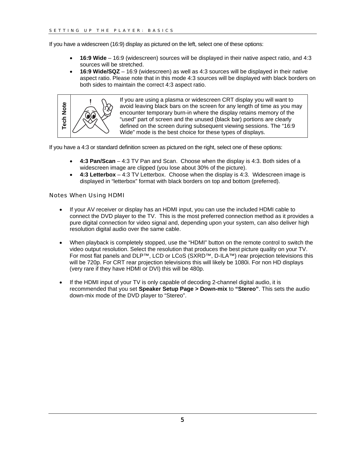If you have a widescreen (16:9) display as pictured on the left, select one of these options:

- **16:9 Wide** 16:9 (widescreen) sources will be displayed in their native aspect ratio, and 4:3 sources will be stretched.
- **16:9 Wide/SQZ** 16:9 (widescreen) as well as 4:3 sources will be displayed in their native aspect ratio. Please note that in this mode 4:3 sources will be displayed with black borders on both sides to maintain the correct 4:3 aspect ratio.



If you are using a plasma or widescreen CRT display you will want to avoid leaving black bars on the screen for any length of time as you may encounter temporary burn-in where the display retains memory of the "used" part of screen and the unused (black bar) portions are clearly defined on the screen during subsequent viewing sessions. The "16:9 Wide" mode is the best choice for these types of displays.

If you have a 4:3 or standard definition screen as pictured on the right, select one of these options:

- **4:3 Pan/Scan**  4:3 TV Pan and Scan. Choose when the display is 4:3. Both sides of a widescreen image are clipped (you lose about 30% of the picture).
- **4:3 Letterbox** 4:3 TV Letterbox. Choose when the display is 4:3. Widescreen image is displayed in "letterbox" format with black borders on top and bottom (preferred).

#### Notes When Using HDMI

- If your AV receiver or display has an HDMI input, you can use the included HDMI cable to connect the DVD player to the TV. This is the most preferred connection method as it provides a pure digital connection for video signal and, depending upon your system, can also deliver high resolution digital audio over the same cable.
- When playback is completely stopped, use the "HDMI" button on the remote control to switch the video output resolution. Select the resolution that produces the best picture quality on your TV. For most flat panels and DLP™, LCD or LCoS (SXRD™, D-ILA™) rear projection televisions this will be 720p. For CRT rear projection televisions this will likely be 1080i. For non HD displays (very rare if they have HDMI or DVI) this will be 480p.
- If the HDMI input of your TV is only capable of decoding 2-channel digital audio, it is recommended that you set **Speaker Setup Page > Down-mix** to **"Stereo"**. This sets the audio down-mix mode of the DVD player to "Stereo".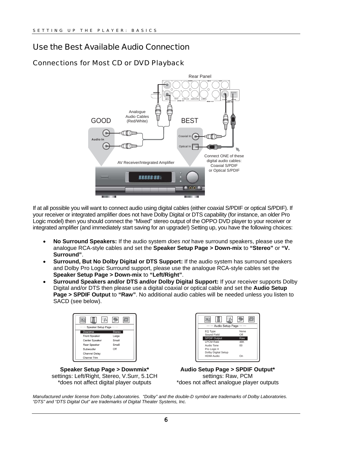# <span id="page-7-0"></span>Use the Best Available Audio Connection

### Connections for Most CD or DVD Playback



If at all possible you will want to connect audio using digital cables (either coaxial S/PDIF or optical S/PDIF). If your receiver or integrated amplifier does not have Dolby Digital or DTS capability (for instance, an older Pro Logic model) then you should connect the "Mixed" stereo output of the OPPO DVD player to your receiver or integrated amplifier (and immediately start saving for an upgrade!) Setting up, you have the following choices:

- **No Surround Speakers:** If the audio system *does not* have surround speakers, please use the analogue RCA-style cables and set the **Speaker Setup Page > Down-mix** to **"Stereo"** or **"V. Surround"**.
- **Surround, But No Dolby Digital or DTS Support:** If the audio system has surround speakers and Dolby Pro Logic Surround support, please use the analogue RCA-style cables set the **Speaker Setup Page > Down-mix** to **"Left/Right"**.
- **Surround Speakers and/or DTS and/or Dolby Digital Support:** If your receiver supports Dolby Digital and/or DTS then please use a digital coaxial or optical cable and set the **Audio Setup Page > SPDIF Output** to **"Raw"**. No additional audio cables will be needed unless you listen to SACD (see below).



**Speaker Setup Page > Downmix\*** settings: Left/Right, Stereo, V.Surr, 5.1CH \*does not affect digital player outputs



**Audio Setup Page > SPDIF Output\*** settings: Raw, PCM \*does not affect analogue player outputs

*Manufactured under license from Dolby Laboratories. "Dolby" and the double-D symbol are trademarks of Dolby Laboratories. "DTS" and "DTS Digital Out" are trademarks of Digital Theater Systems, Inc.*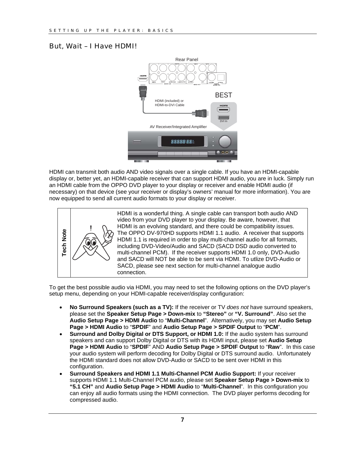### <span id="page-8-0"></span>But, Wait – I Have HDMI!



HDMI can transmit both audio AND video signals over a single cable. If you have an HDMI-capable display or, better yet, an HDMI-capable receiver that can support HDMI audio, you are in luck. Simply run an HDMI cable from the OPPO DVD player to your display or receiver and enable HDMI audio (if necessary) on that device (see your receiver or display's owners' manual for more information). You are now equipped to send all current audio formats to your display or receiver.



HDMI is a wonderful thing. A single cable can transport both audio AND video from your DVD player to your display. Be aware, however, that HDMI is an evolving standard, and there could be compatibility issues. The OPPO DV-970HD supports HDMI 1.1 audio. A receiver that supports HDMI 1.1 is required in order to play multi-channel audio for all formats, including DVD-Video/Audio and SACD (SACD DSD audio converted to multi-channel PCM). If the receiver supports HDMI 1.0 only, DVD-Audio and SACD will NOT be able to be sent via HDMI. To utlize DVD-Audio or SACD, please see next section for multi-channel analogue audio connection.

To get the best possible audio via HDMI, you may need to set the following options on the DVD player's setup menu, depending on your HDMI-capable receiver/display configuration:

- **No Surround Speakers (such as a TV):** If the receiver or TV *does not* have surround speakers, please set the **Speaker Setup Page > Down-mix** to **"Stereo"** or **"V. Surround"**. Also set the **Audio Setup Page > HDMI Audio** to "**Multi-Channel**". Alternatively, you may set **Audio Setup Page > HDMI Audio** to "**SPDIF**" and **Audio Setup Page > SPDIF Output** to "**PCM**".
- **Surround and Dolby Digital or DTS Support, or HDMI 1.0:** If the audio system has surround speakers and can support Dolby Digital or DTS with its HDMI input, please set **Audio Setup Page > HDMI Audio** to "**SPDIF**" AND **Audio Setup Page > SPDIF Output** to "**Raw**". In this case your audio system will perform decoding for Dolby Digital or DTS surround audio. Unfortunately the HDMI standard does not allow DVD-Audio or SACD to be sent over HDMI in this configuration.
- **Surround Speakers and HDMI 1.1 Multi-Channel PCM Audio Support:** If your receiver supports HDMI 1.1 Multi-Channel PCM audio, please set **Speaker Setup Page > Down-mix** to **"5.1 CH"** and **Audio Setup Page > HDMI Audio** to "**Multi-Channel**". In this configuration you can enjoy all audio formats using the HDMI connection. The DVD player performs decoding for compressed audio.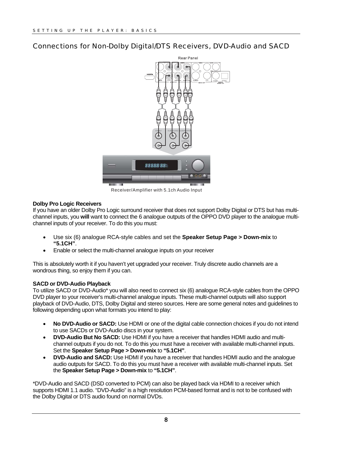### <span id="page-9-0"></span>Connections for Non-Dolby Digital/DTS Receivers, DVD-Audio and SACD



Receiver/Amplifier with 5.1ch Audio Input

#### **Dolby Pro Logic Receivers**

If you have an older Dolby Pro Logic surround receiver that does not support Dolby Digital or DTS but has multichannel inputs, you **will** want to connect the 6 analogue outputs of the OPPO DVD player to the analogue multichannel inputs of your receiver. To do this you must:

- Use six (6) analogue RCA-style cables and set the **Speaker Setup Page > Down-mix** to **"5.1CH"**.
- Enable or select the multi-channel analogue inputs on your receiver

This is absolutely worth it if you haven't yet upgraded your receiver. Truly discrete audio channels are a wondrous thing, so enjoy them if you can.

#### **SACD or DVD-Audio Playback**

To utilize SACD or DVD-Audio\* you will also need to connect six (6) analogue RCA-style cables from the OPPO DVD player to your receiver's multi-channel analogue inputs. These multi-channel outputs will also support playback of DVD-Audio, DTS, Dolby Digital and stereo sources. Here are some general notes and guidelines to following depending upon what formats you intend to play:

- **No DVD-Audio or SACD:** Use HDMI or one of the digital cable connection choices if you do not intend to use SACDs or DVD-Audio discs in your system.
- **DVD-Audio But No SACD:** Use HDMI if you have a receiver that handles HDMI audio and multichannel outputs if you do not. To do this you must have a receiver with available multi-channel inputs. Set the **Speaker Setup Page > Down-mix** to **"5.1CH"**.
- **DVD-Audio and SACD:** Use HDMI if you have a receiver that handles HDMI audio and the analogue audio outputs for SACD. To do this you must have a receiver with available multi-channel inputs. Set the **Speaker Setup Page > Down-mix** to **"5.1CH"**.

\*DVD-Audio and SACD (DSD converted to PCM) can also be played back via HDMI to a receiver which supports HDMI 1.1 audio. "DVD-Audio" is a high resolution PCM-based format and is not to be confused with the Dolby Digital or DTS audio found on normal DVDs.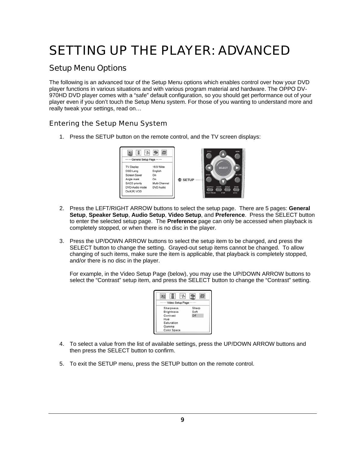# <span id="page-10-0"></span>SETTING UP THE PLAYER: ADVANCED

# Setup Menu Options

The following is an advanced tour of the Setup Menu options which enables control over how your DVD player functions in various situations and with various program material and hardware. The OPPO DV-970HD DVD player comes with a "safe" default configuration, so you should get performance out of your player even if you don't touch the Setup Menu system. For those of you wanting to understand more and really tweak your settings, read on…

## Entering the Setup Menu System

1. Press the SETUP button on the remote control, and the TV screen displays:



- 2. Press the LEFT/RIGHT ARROW buttons to select the setup page. There are 5 pages: **General Setup**, **Speaker Setup**, **Audio Setup**, **Video Setup**, and **Preference**. Press the SELECT button to enter the selected setup page. The **Preference** page can only be accessed when playback is completely stopped, or when there is no disc in the player.
- 3. Press the UP/DOWN ARROW buttons to select the setup item to be changed, and press the SELECT button to change the setting. Grayed-out setup items cannot be changed. To allow changing of such items, make sure the item is applicable, that playback is completely stopped, and/or there is no disc in the player.

For example, in the Video Setup Page (below), you may use the UP/DOWN ARROW buttons to select the "Contrast" setup item, and press the SELECT button to change the "Contrast" setting.



- 4. To select a value from the list of available settings, press the UP/DOWN ARROW buttons and then press the SELECT button to confirm.
- 5. To exit the SETUP menu, press the SETUP button on the remote control.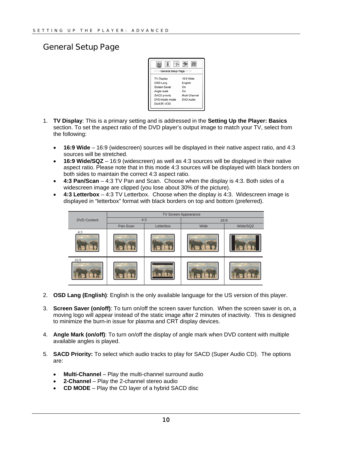## <span id="page-11-0"></span>General Setup Page



- 1. **TV Display**: This is a primary setting and is addressed in the **Setting Up the Player: Basics** section. To set the aspect ratio of the DVD player's output image to match your TV, select from the following:
	- **16:9 Wide** 16:9 (widescreen) sources will be displayed in their native aspect ratio, and 4:3 sources will be stretched.
	- **16:9 Wide/SQZ** 16:9 (widescreen) as well as 4:3 sources will be displayed in their native aspect ratio. Please note that in this mode 4:3 sources will be displayed with black borders on both sides to maintain the correct 4:3 aspect ratio.
	- **4:3 Pan/Scan**  4:3 TV Pan and Scan. Choose when the display is 4:3. Both sides of a widescreen image are clipped (you lose about 30% of the picture).
	- **4:3 Letterbox** 4:3 TV Letterbox. Choose when the display is 4:3. Widescreen image is displayed in "letterbox" format with black borders on top and bottom (preferred).



- 2. **OSD Lang (English)**: English is the only available language for the US version of this player.
- 3. **Screen Saver (on/off)**: To turn on/off the screen saver function. When the screen saver is on, a moving logo will appear instead of the static image after 2 minutes of inactivity. This is designed to minimize the burn-in issue for plasma and CRT display devices.
- 4. **Angle Mark (on/off)**: To turn on/off the display of angle mark when DVD content with multiple available angles is played.
- 5. **SACD Priority:** To select which audio tracks to play for SACD (Super Audio CD). The options are:
	- **Multi-Channel** Play the multi-channel surround audio
	- **2-Channel**  Play the 2-channel stereo audio
	- **CD MODE** Play the CD layer of a hybrid SACD disc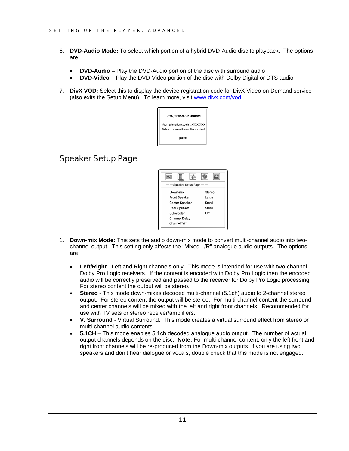- <span id="page-12-0"></span>6. **DVD-Audio Mode:** To select which portion of a hybrid DVD-Audio disc to playback. The options are:
	- **DVD-Audio** Play the DVD-Audio portion of the disc with surround audio
	- **DVD-Video** Play the DVD-Video portion of the disc with Dolby Digital or DTS audio
- 7. **DivX VOD:** Select this to display the device registration code for DivX Video on Demand service (also exits the Setup Menu). To learn more, visit [www.divx.com/vod](http://www.divx.com/vod)



# Speaker Setup Page



- 1. **Down-mix Mode:** This sets the audio down-mix mode to convert multi-channel audio into twochannel output. This setting only affects the "Mixed L/R" analogue audio outputs. The options are:
	- **Left/Right** Left and Right channels only. This mode is intended for use with two-channel Dolby Pro Logic receivers. If the content is encoded with Dolby Pro Logic then the encoded audio will be correctly preserved and passed to the receiver for Dolby Pro Logic processing. For stereo content the output will be stereo.
	- **Stereo** This mode down-mixes decoded multi-channel (5.1ch) audio to 2-channel stereo output. For stereo content the output will be stereo. For multi-channel content the surround and center channels will be mixed with the left and right front channels. Recommended for use with TV sets or stereo receiver/amplifiers.
	- **V. Surround** Virtual Surround. This mode creates a virtual surround effect from stereo or multi-channel audio contents.
	- **5.1CH**  This mode enables 5.1ch decoded analogue audio output. The number of actual output channels depends on the disc. **Note:** For multi-channel content, only the left front and right front channels will be re-produced from the Down-mix outputs. If you are using two speakers and don't hear dialogue or vocals, double check that this mode is not engaged.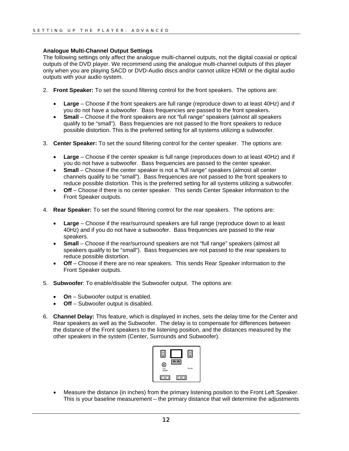#### **Analogue Multi-Channel Output Settings**

The following settings only affect the analogue multi-channel outputs, not the digital coaxial or optical outputs of the DVD player. We recommend using the analogue multi-channel outputs of this player only when you are playing SACD or DVD-Audio discs and/or cannot utilize HDMI or the digital audio outputs with your audio system.

- 2. **Front Speaker:** To set the sound filtering control for the front speakers. The options are:
	- **Large** Choose if the front speakers are full range (reproduce down to at least 40Hz) and if you do not have a subwoofer. Bass frequencies are passed to the front speakers.
	- **Small** Choose if the front speakers are not "full range" speakers (almost all speakers qualify to be "small"). Bass frequencies are not passed to the front speakers to reduce possible distortion. This is the preferred setting for all systems utilizing a subwoofer.
- 3. **Center Speaker:** To set the sound filtering control for the center speaker. The options are:
	- **Large** Choose if the center speaker is full range (reproduces down to at least 40Hz) and if you do not have a subwoofer. Bass frequencies are passed to the center speaker.
	- **Small** Choose if the center speaker is not a "full range" speakers (almost all center channels qualify to be "small"). Bass frequencies are not passed to the front speakers to reduce possible distortion. This is the preferred setting for all systems utilizing a subwoofer.
	- **Off** Choose if there is no center speaker. This sends Center Speaker information to the Front Speaker outputs.
- 4. **Rear Speaker:** To set the sound filtering control for the rear speakers. The options are:
	- **Large** Choose if the rear/surround speakers are full range (reproduce down to at least 40Hz) and if you do not have a subwoofer. Bass frequencies are passed to the rear speakers.
	- **Small** Choose if the rear/surround speakers are not "full range" speakers (almost all speakers qualify to be "small"). Bass frequencies are not passed to the rear speakers to reduce possible distortion.
	- **Off** Choose if there are no rear speakers. This sends Rear Speaker information to the Front Speaker outputs.
- 5. **Subwoofer**: To enable/disable the Subwoofer output. The options are:
	- **On** Subwoofer output is enabled.
	- **Off** Subwoofer output is disabled.
- 6. **Channel Delay:** This feature, which is displayed in inches, sets the delay time for the Center and Rear speakers as well as the Subwoofer. The delay is to compensate for differences between the distance of the Front speakers to the listening position, and the distances measured by the other speakers in the system (Center, Surrounds and Subwoofer).



• Measure the distance (in inches) from the primary listening position to the Front Left Speaker. This is your baseline measurement – the primary distance that will determine the adjustments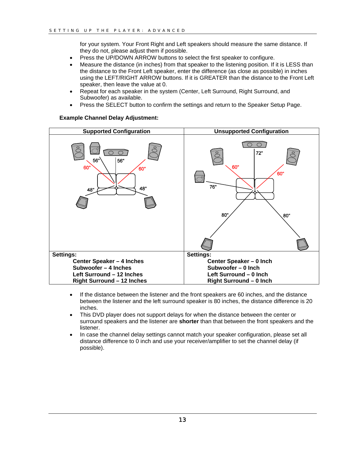for your system. Your Front Right and Left speakers should measure the same distance. If they do not, please adjust them if possible.

- Press the UP/DOWN ARROW buttons to select the first speaker to configure.
- Measure the distance (in inches) from that speaker to the listening position. If it is LESS than the distance to the Front Left speaker, enter the difference (as close as possible) in inches using the LEFT/RIGHT ARROW buttons. If it is GREATER than the distance to the Front Left speaker, then leave the value at 0.
- Repeat for each speaker in the system (Center, Left Surround, Right Surround, and Subwoofer) as available.
- Press the SELECT button to confirm the settings and return to the Speaker Setup Page.

#### **Example Channel Delay Adjustment:**



- If the distance between the listener and the front speakers are 60 inches, and the distance between the listener and the left surround speaker is 80 inches, the distance difference is 20 inches.
- This DVD player does not support delays for when the distance between the center or surround speakers and the listener are **shorter** than that between the front speakers and the listener.
- In case the channel delay settings cannot match your speaker configuration, please set all distance difference to 0 inch and use your receiver/amplifier to set the channel delay (if possible).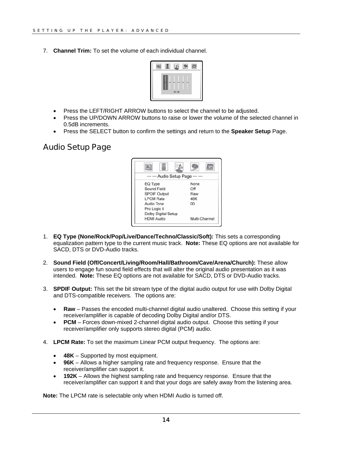<span id="page-15-0"></span>7. **Channel Trim:** To set the volume of each individual channel.



- Press the LEFT/RIGHT ARROW buttons to select the channel to be adjusted.
- Press the UP/DOWN ARROW buttons to raise or lower the volume of the selected channel in 0.5dB increments.
- Press the SELECT button to confirm the settings and return to the **Speaker Setup** Page.

## Audio Setup Page



- 1. **EQ Type (None/Rock/Pop/Live/Dance/Techno/Classic/Soft):** This sets a corresponding equalization pattern type to the current music track. **Note:** These EQ options are not available for SACD, DTS or DVD-Audio tracks.
- 2. **Sound Field (Off/Concert/Living/Room/Hall/Bathroom/Cave/Arena/Church):** These allow users to engage fun sound field effects that will alter the original audio presentation as it was intended. **Note:** These EQ options are not available for SACD, DTS or DVD-Audio tracks.
- 3. **SPDIF Output:** This set the bit stream type of the digital audio output for use with Dolby Digital and DTS-compatible receivers. The options are:
	- **Raw** Passes the encoded multi-channel digital audio unaltered. Choose this setting if your receiver/amplifier is capable of decoding Dolby Digital and/or DTS.
	- **PCM** Forces down-mixed 2-channel digital audio output. Choose this setting if your receiver/amplifier only supports stereo digital (PCM) audio.
- 4. **LPCM Rate:** To set the maximum Linear PCM output frequency. The options are:
	- **48K** Supported by most equipment.
	- **96K** Allows a higher sampling rate and frequency response. Ensure that the receiver/amplifier can support it.
	- **192K** Allows the highest sampling rate and frequency response. Ensure that the receiver/amplifier can support it and that your dogs are safely away from the listening area.

**Note:** The LPCM rate is selectable only when HDMI Audio is turned off.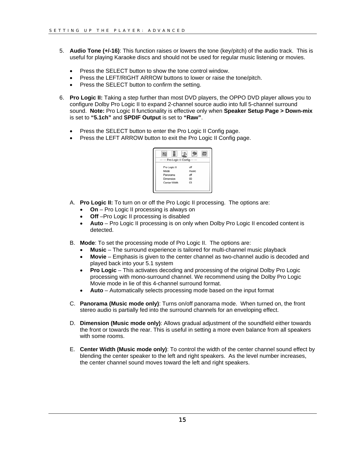- 5. **Audio Tone (+/-16)**: This function raises or lowers the tone (key/pitch) of the audio track. This is useful for playing Karaoke discs and should not be used for regular music listening or movies.
	- Press the SELECT button to show the tone control window.
	- Press the LEFT/RIGHT ARROW buttons to lower or raise the tone/pitch.
	- Press the SELECT button to confirm the setting.
- 6. **Pro Logic II:** Taking a step further than most DVD players, the OPPO DVD player allows you to configure Dolby Pro Logic II to expand 2-channel source audio into full 5-channel surround sound. **Note:** Pro Logic II functionality is effective only when **Speaker Setup Page > Down-mix** is set to **"5.1ch"** and **SPDIF Output** is set to **"Raw"**.
	- Press the SELECT button to enter the Pro Logic II Config page.
	- Press the LEFT ARROW button to exit the Pro Logic II Config page.



- A. **Pro Logic II:** To turn on or off the Pro Logic II processing. The options are:
	- **On** Pro Logic II processing is always on
	- **Off** –Pro Logic II processing is disabled
	- **Auto** Pro Logic II processing is on only when Dolby Pro Logic II encoded content is detected.
- B. **Mode**: To set the processing mode of Pro Logic II. The options are:
	- **Music** The surround experience is tailored for multi-channel music playback
	- **Movie** Emphasis is given to the center channel as two-channel audio is decoded and played back into your 5.1 system
	- **Pro Logic** This activates decoding and processing of the original Dolby Pro Logic processing with mono-surround channel. We recommend using the Dolby Pro Logic Movie mode in lie of this 4-channel surround format.
	- **Auto** Automatically selects processing mode based on the input format
- C. **Panorama (Music mode only)**: Turns on/off panorama mode. When turned on, the front stereo audio is partially fed into the surround channels for an enveloping effect.
- D. **Dimension (Music mode only)**: Allows gradual adjustment of the soundfield either towards the front or towards the rear. This is useful in setting a more even balance from all speakers with some rooms.
- E. **Center Width (Music mode only)**: To control the width of the center channel sound effect by blending the center speaker to the left and right speakers. As the level number increases, the center channel sound moves toward the left and right speakers.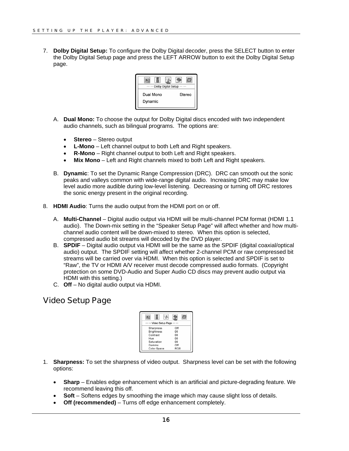<span id="page-17-0"></span>7. **Dolby Digital Setup:** To configure the Dolby Digital decoder, press the SELECT button to enter the Dolby Digital Setup page and press the LEFT ARROW button to exit the Dolby Digital Setup page.



- A. **Dual Mono:** To choose the output for Dolby Digital discs encoded with two independent audio channels, such as bilingual programs. The options are:
	- **Stereo** Stereo output
	- **L-Mono** Left channel output to both Left and Right speakers.
	- **R-Mono** Right channel output to both Left and Right speakers.
	- **Mix Mono** Left and Right channels mixed to both Left and Right speakers.
- B. **Dynamic**: To set the Dynamic Range Compression (DRC). DRC can smooth out the sonic peaks and valleys common with wide-range digital audio. Increasing DRC may make low level audio more audible during low-level listening. Decreasing or turning off DRC restores the sonic energy present in the original recording.
- 8. **HDMI Audio**: Turns the audio output from the HDMI port on or off.
	- A. **Multi-Channel** Digital audio output via HDMI will be multi-channel PCM format (HDMI 1.1 audio). The Down-mix setting in the "Speaker Setup Page" will affect whether and how multichannel audio content will be down-mixed to stereo. When this option is selected, compressed audio bit streams will decoded by the DVD player.
	- B. **SPDIF**  Digital audio output via HDMI will be the same as the SPDIF (digital coaxial/optical audio) output. The SPDIF setting will affect whether 2-channel PCM or raw compressed bit streams will be carried over via HDMI. When this option is selected and SPDIF is set to "Raw", the TV or HDMI A/V receiver must decode compressed audio formats. (Copyright protection on some DVD-Audio and Super Audio CD discs may prevent audio output via HDMI with this setting.)
	- C. **Off** No digital audio output via HDMI.

# Video Setup Page

| Video Setup Page  |            |
|-------------------|------------|
| Sharpness         | Off        |
| <b>Brightness</b> | 00         |
| Contrast          | 00         |
| Hue               | 00         |
| Saturation        | 00         |
| Gamma             | Off        |
| Color Space       | <b>RGB</b> |

- 1. **Sharpness:** To set the sharpness of video output. Sharpness level can be set with the following options:
	- **Sharp** Enables edge enhancement which is an artificial and picture-degrading feature. We recommend leaving this off.
	- **Soft** Softens edges by smoothing the image which may cause slight loss of details.
	- **Off (recommended)** Turns off edge enhancement completely.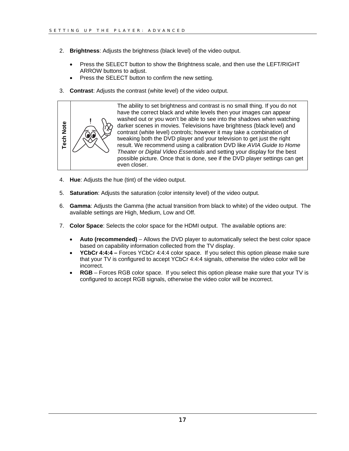- 2. **Brightness**: Adjusts the brightness (black level) of the video output.
	- Press the SELECT button to show the Brightness scale, and then use the LEFT/RIGHT ARROW buttons to adjust.
	- Press the SELECT button to confirm the new setting.
- 3. **Contrast**: Adjusts the contrast (white level) of the video output.



The ability to set brightness and contrast is no small thing. If you do not have the correct black and white levels then your images can appear washed out or you won't be able to see into the shadows when watching darker scenes in movies. Televisions have brightness (black level) and contrast (white level) controls; however it may take a combination of tweaking both the DVD player and your television to get just the right result. We recommend using a calibration DVD like *AVIA Guide to Home Theater* or *Digital Video Essentials* and setting your display for the best possible picture. Once that is done, see if the DVD player settings can get

- 4. **Hue**: Adjusts the hue (tint) of the video output.
- 5. **Saturation**: Adjusts the saturation (color intensity level) of the video output.
- 6. **Gamma**: Adjusts the Gamma (the actual transition from black to white) of the video output. The available settings are High, Medium, Low and Off.
- 7. **Color Space**: Selects the color space for the HDMI output. The available options are:
	- **Auto (recommended)** Allows the DVD player to automatically select the best color space based on capability information collected from the TV display.
	- **YCbCr 4:4:4** Forces YCbCr 4:4:4 color space. If you select this option please make sure that your TV is configured to accept YCbCr 4:4:4 signals, otherwise the video color will be incorrect.
	- **RGB** Forces RGB color space. If you select this option please make sure that your TV is configured to accept RGB signals, otherwise the video color will be incorrect.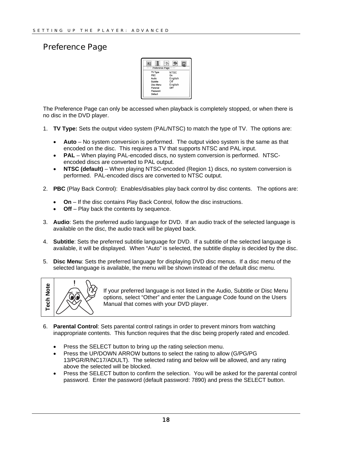# <span id="page-19-0"></span>Preference Page



The Preference Page can only be accessed when playback is completely stopped, or when there is no disc in the DVD player.

- 1. **TV Type:** Sets the output video system (PAL/NTSC) to match the type of TV. The options are:
	- **Auto** No system conversion is performed. The output video system is the same as that encoded on the disc. This requires a TV that supports NTSC and PAL input.
	- **PAL** When playing PAL-encoded discs, no system conversion is performed. NTSCencoded discs are converted to PAL output.
	- **NTSC (default)** When playing NTSC-encoded (Region 1) discs, no system conversion is performed. PAL-encoded discs are converted to NTSC output.
- 2. **PBC** (Play Back Control): Enables/disables play back control by disc contents. The options are:
	- **On** If the disc contains Play Back Control, follow the disc instructions.
	- **Off** Play back the contents by sequence.
- 3. **Audio**: Sets the preferred audio language for DVD. If an audio track of the selected language is available on the disc, the audio track will be played back.
- 4. **Subtitle**: Sets the preferred subtitle language for DVD. If a subtitle of the selected language is available, it will be displayed. When "Auto" is selected, the subtitle display is decided by the disc.
- 5. **Disc Menu**: Sets the preferred language for displaying DVD disc menus. If a disc menu of the selected language is available, the menu will be shown instead of the default disc menu.



If your preferred language is not listed in the Audio, Subtitle or Disc Menu options, select "Other" and enter the Language Code found on the Users Manual that comes with your DVD player.

- 6. **Parental Control**: Sets parental control ratings in order to prevent minors from watching inappropriate contents. This function requires that the disc being properly rated and encoded.
	- Press the SELECT button to bring up the rating selection menu.
	- Press the UP/DOWN ARROW buttons to select the rating to allow (G/PG/PG 13/PGR/R/NC17/ADULT). The selected rating and below will be allowed, and any rating above the selected will be blocked.
	- Press the SELECT button to confirm the selection. You will be asked for the parental control password. Enter the password (default password: 7890) and press the SELECT button.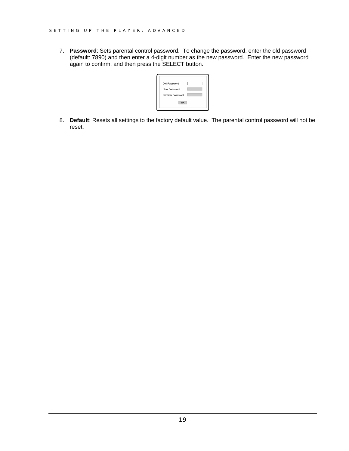7. **Password**: Sets parental control password. To change the password, enter the old password (default: 7890) and then enter a 4-digit number as the new password. Enter the new password again to confirm, and then press the SELECT button.

| Old Password     |  |
|------------------|--|
| New Password     |  |
| Confirm Password |  |

8. **Default**: Resets all settings to the factory default value. The parental control password will not be reset.